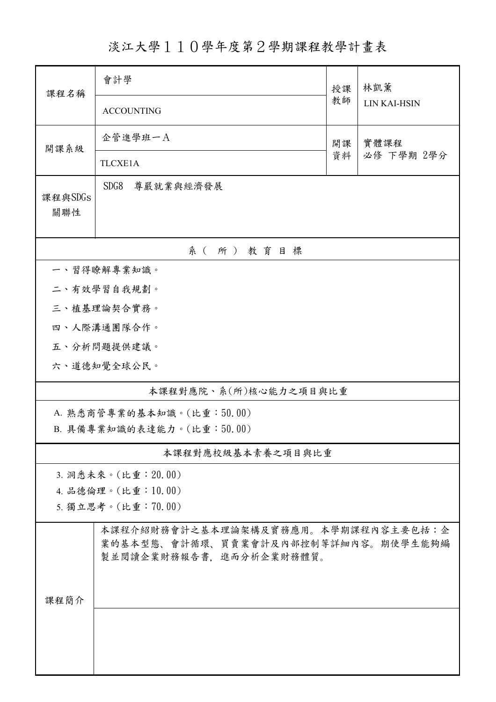淡江大學110學年度第2學期課程教學計畫表

| 課程名稱                      | 會計學<br>授課                                                                                             |    | 林凱薰          |  |  |  |  |
|---------------------------|-------------------------------------------------------------------------------------------------------|----|--------------|--|--|--|--|
|                           | <b>ACCOUNTING</b>                                                                                     | 教師 | LIN KAI-HSIN |  |  |  |  |
| 開課系級                      | 企管進學班一A                                                                                               | 開課 | 實體課程         |  |  |  |  |
|                           | TLCXE1A                                                                                               | 資料 | 必修 下學期 2學分   |  |  |  |  |
| 課程與SDGs<br>關聯性            | SDG8<br>尊嚴就業與經濟發展                                                                                     |    |              |  |  |  |  |
| 系(所)教育目標                  |                                                                                                       |    |              |  |  |  |  |
| 一、習得瞭解專業知識。               |                                                                                                       |    |              |  |  |  |  |
|                           | 二、有效學習自我規劃。                                                                                           |    |              |  |  |  |  |
|                           | 三、植基理論契合實務。                                                                                           |    |              |  |  |  |  |
|                           | 四、人際溝通團隊合作。                                                                                           |    |              |  |  |  |  |
|                           | 五、分析問題提供建議。                                                                                           |    |              |  |  |  |  |
|                           | 六、道德知覺全球公民。                                                                                           |    |              |  |  |  |  |
| 本課程對應院、系(所)核心能力之項目與比重     |                                                                                                       |    |              |  |  |  |  |
| A. 熟悉商管專業的基本知識。(比重:50.00) |                                                                                                       |    |              |  |  |  |  |
| B. 具備專業知識的表達能力。(比重:50.00) |                                                                                                       |    |              |  |  |  |  |
| 本課程對應校級基本素養之項目與比重         |                                                                                                       |    |              |  |  |  |  |
| 3. 洞悉未來。(比重: 20.00)       |                                                                                                       |    |              |  |  |  |  |
|                           | 4. 品德倫理。(比重:10.00)                                                                                    |    |              |  |  |  |  |
| 5. 獨立思考。(比重:70.00)        |                                                                                                       |    |              |  |  |  |  |
|                           | 本課程介紹財務會計之基本理論架構及實務應用。本學期課程內容主要包括:企<br>業的基本型態、會計循環、買賣業會計及內部控制等詳細內容。期使學生能夠編<br>製並閱讀企業財務報告書,進而分析企業財務體質。 |    |              |  |  |  |  |
| 課程簡介                      |                                                                                                       |    |              |  |  |  |  |
|                           |                                                                                                       |    |              |  |  |  |  |
|                           |                                                                                                       |    |              |  |  |  |  |
|                           |                                                                                                       |    |              |  |  |  |  |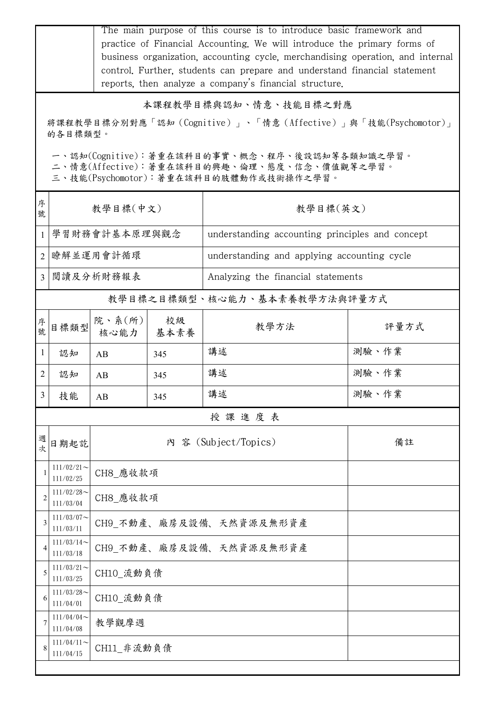|                                                                                                                                        | The main purpose of this course is to introduce basic framework and<br>practice of Financial Accounting. We will introduce the primary forms of<br>business organization, accounting cycle, merchandising operation, and internal<br>control. Further, students can prepare and understand financial statement<br>reports, then analyze a company's financial structure. |                         |            |                                                 |       |  |  |
|----------------------------------------------------------------------------------------------------------------------------------------|--------------------------------------------------------------------------------------------------------------------------------------------------------------------------------------------------------------------------------------------------------------------------------------------------------------------------------------------------------------------------|-------------------------|------------|-------------------------------------------------|-------|--|--|
| 本課程教學目標與認知、情意、技能目標之對應                                                                                                                  |                                                                                                                                                                                                                                                                                                                                                                          |                         |            |                                                 |       |  |  |
| 將課程教學目標分別對應「認知(Cognitive)」、「情意(Affective)」與「技能(Psychomotor)」<br>的各目標類型。                                                                |                                                                                                                                                                                                                                                                                                                                                                          |                         |            |                                                 |       |  |  |
| 一、認知(Cognitive):著重在該科目的事實、概念、程序、後設認知等各類知識之學習。<br>二、情意(Affective):著重在該科目的興趣、倫理、態度、信念、價值觀等之學習。<br>三、技能(Psychomotor):著重在該科目的肢體動作或技術操作之學習。 |                                                                                                                                                                                                                                                                                                                                                                          |                         |            |                                                 |       |  |  |
| 序<br>號                                                                                                                                 | 教學目標(中文)                                                                                                                                                                                                                                                                                                                                                                 |                         |            | 教學目標(英文)                                        |       |  |  |
| $\mathbf{1}$                                                                                                                           | 學習財務會計基本原理與觀念                                                                                                                                                                                                                                                                                                                                                            |                         |            | understanding accounting principles and concept |       |  |  |
| 2                                                                                                                                      | 瞭解並運用會計循環                                                                                                                                                                                                                                                                                                                                                                |                         |            | understanding and applying accounting cycle     |       |  |  |
| 3                                                                                                                                      | 閱讀及分析財務報表                                                                                                                                                                                                                                                                                                                                                                |                         |            | Analyzing the financial statements              |       |  |  |
|                                                                                                                                        |                                                                                                                                                                                                                                                                                                                                                                          |                         |            | 教學目標之目標類型、核心能力、基本素養教學方法與評量方式                    |       |  |  |
| 序號                                                                                                                                     | 目標類型                                                                                                                                                                                                                                                                                                                                                                     | 院、系(所)<br>核心能力          | 校級<br>基本素養 | 教學方法                                            | 評量方式  |  |  |
| 1                                                                                                                                      | 認知                                                                                                                                                                                                                                                                                                                                                                       | AB                      | 345        | 講述                                              | 測驗、作業 |  |  |
| 2                                                                                                                                      | 認知                                                                                                                                                                                                                                                                                                                                                                       | AB                      | 345        | 講述                                              | 測驗、作業 |  |  |
| 3                                                                                                                                      | 技能                                                                                                                                                                                                                                                                                                                                                                       | AB                      | 345        | 講述                                              | 測驗、作業 |  |  |
| 授課進度表                                                                                                                                  |                                                                                                                                                                                                                                                                                                                                                                          |                         |            |                                                 |       |  |  |
| 週<br>次                                                                                                                                 | 日期起訖                                                                                                                                                                                                                                                                                                                                                                     |                         |            | 內 容 (Subject/Topics)                            | 備註    |  |  |
|                                                                                                                                        | $111/02/21$ ~<br>111/02/25                                                                                                                                                                                                                                                                                                                                               | CH8 應收款項                |            |                                                 |       |  |  |
| 2                                                                                                                                      | $111/02/28$ ~<br>111/03/04                                                                                                                                                                                                                                                                                                                                               | CH8 應收款項                |            |                                                 |       |  |  |
| 3                                                                                                                                      | $111/03/07$ ~<br>111/03/11                                                                                                                                                                                                                                                                                                                                               | CH9 不動產、廠房及設備、天然資源及無形資產 |            |                                                 |       |  |  |
| 4                                                                                                                                      | $111/03/14$ ~<br>111/03/18                                                                                                                                                                                                                                                                                                                                               | CH9_不動產、廠房及設備、天然資源及無形資產 |            |                                                 |       |  |  |
| 5                                                                                                                                      | $111/03/21$ ~<br>111/03/25                                                                                                                                                                                                                                                                                                                                               |                         | CH10 流動負債  |                                                 |       |  |  |
| 6                                                                                                                                      | $111/03/28$ ~<br>111/04/01                                                                                                                                                                                                                                                                                                                                               |                         | CH10 流動負債  |                                                 |       |  |  |
| 7                                                                                                                                      | $111/04/04$ ~<br>111/04/08                                                                                                                                                                                                                                                                                                                                               | 教學觀摩週                   |            |                                                 |       |  |  |
|                                                                                                                                        | $111/04/11$ ~<br>111/04/15                                                                                                                                                                                                                                                                                                                                               | CH11 非流動負債              |            |                                                 |       |  |  |